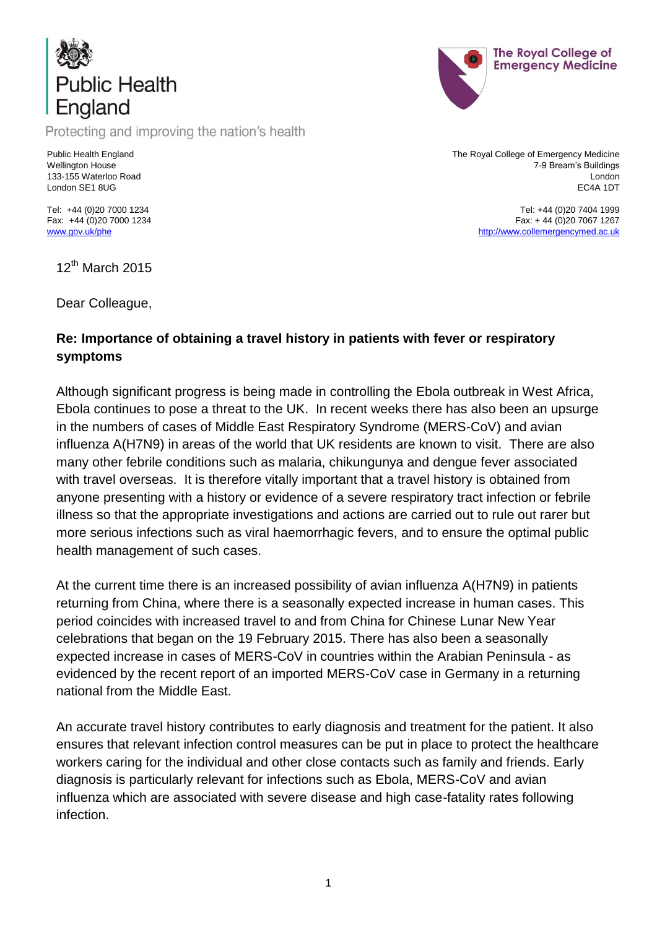

Protecting and improving the nation's health

Public Health England Wellington House 133-155 Waterloo Road London SE1 8UG

The Royal College of Emergency Medicine 7-9 Bream's Buildings London EC4A 1DT

The Royal College of **Emergency Medicine** 

Tel: +44 (0)20 7404 1999 Fax: + 44 (0)20 7067 1267 [http://www.collemergencymed.ac.uk](http://www.collemergencymed.ac.uk/)

Tel: +44 (0)20 7000 1234 Fax: +44 (0)20 7000 1234 [www.gov.uk/phe](http://www.gov.uk/phe)

12<sup>th</sup> March 2015

Dear Colleague,

### **Re: Importance of obtaining a travel history in patients with fever or respiratory symptoms**

Although significant progress is being made in controlling the Ebola outbreak in West Africa, Ebola continues to pose a threat to the UK. In recent weeks there has also been an upsurge in the numbers of cases of Middle East Respiratory Syndrome (MERS-CoV) and avian influenza A(H7N9) in areas of the world that UK residents are known to visit. There are also many other febrile conditions such as malaria, chikungunya and dengue fever associated with travel overseas. It is therefore vitally important that a travel history is obtained from anyone presenting with a history or evidence of a severe respiratory tract infection or febrile illness so that the appropriate investigations and actions are carried out to rule out rarer but more serious infections such as viral haemorrhagic fevers, and to ensure the optimal public health management of such cases.

At the current time there is an increased possibility of avian influenza A(H7N9) in patients returning from China, where there is a seasonally expected increase in human cases. This period coincides with increased travel to and from China for Chinese Lunar New Year celebrations that began on the 19 February 2015. There has also been a seasonally expected increase in cases of MERS-CoV in countries within the Arabian Peninsula - as evidenced by the recent report of an imported MERS-CoV case in Germany in a returning national from the Middle East.

An accurate travel history contributes to early diagnosis and treatment for the patient. It also ensures that relevant infection control measures can be put in place to protect the healthcare workers caring for the individual and other close contacts such as family and friends. Early diagnosis is particularly relevant for infections such as Ebola, MERS-CoV and avian influenza which are associated with severe disease and high case-fatality rates following infection.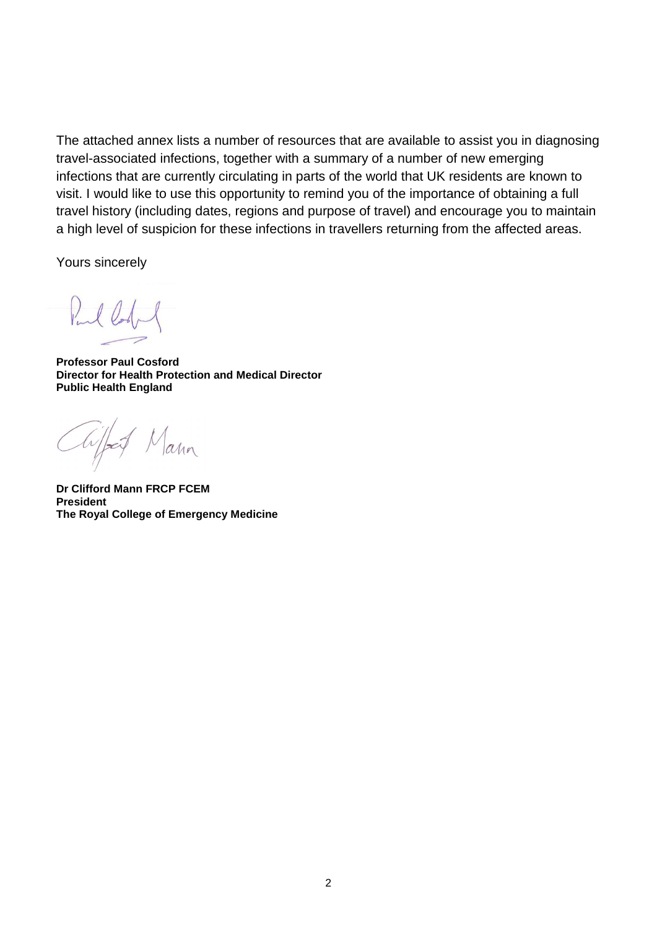The attached annex lists a number of resources that are available to assist you in diagnosing travel-associated infections, together with a summary of a number of new emerging infections that are currently circulating in parts of the world that UK residents are known to visit. I would like to use this opportunity to remind you of the importance of obtaining a full travel history (including dates, regions and purpose of travel) and encourage you to maintain a high level of suspicion for these infections in travellers returning from the affected areas.

Yours sincerely

Pul

**Professor Paul Cosford Director for Health Protection and Medical Director Public Health England**

Chiffog  $a$ 

**Dr Clifford Mann FRCP FCEM President The Royal College of Emergency Medicine**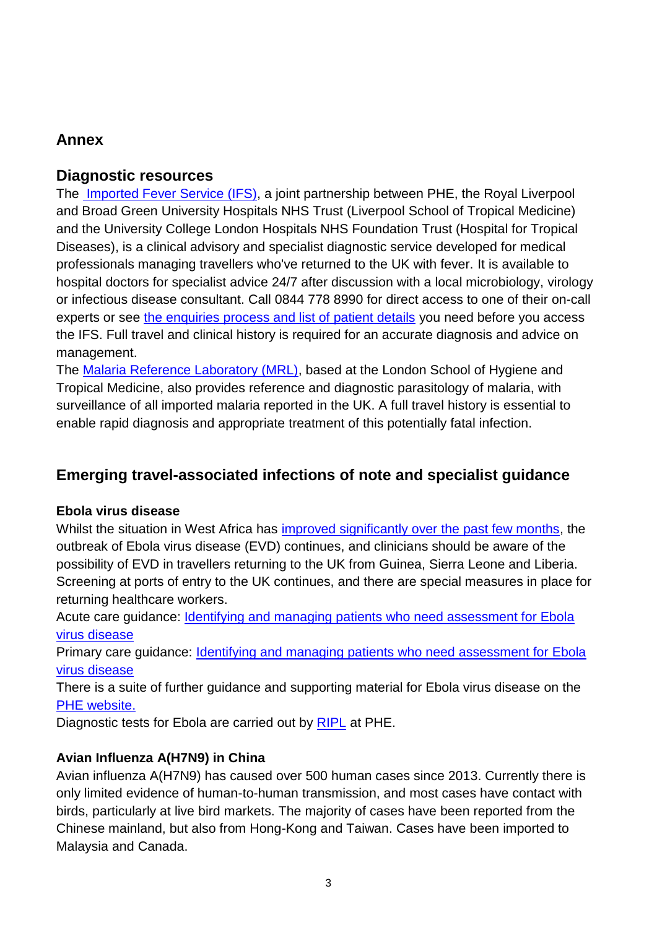## **Annex**

### **Diagnostic resources**

The [Imported Fever Service](https://www.gov.uk/imported-fever-service-ifs) (IFS), a joint partnership between PHE, the Royal Liverpool and Broad Green University Hospitals NHS Trust (Liverpool School of Tropical Medicine) and the University College London Hospitals NHS Foundation Trust (Hospital for Tropical Diseases), is a clinical advisory and specialist diagnostic service developed for medical professionals managing travellers who've returned to the UK with fever. It is available to hospital doctors for specialist advice 24/7 after discussion with a local microbiology, virology or infectious disease consultant. Call 0844 778 8990 for direct access to one of their on-call experts or see [the enquiries process and list of patient details](https://www.gov.uk/government/publications/imported-fever-service-referrals-process) you need before you access the IFS. Full travel and clinical history is required for an accurate diagnosis and advice on management.

The [Malaria Reference Laboratory \(MRL\),](https://www.gov.uk/mrl-reference-diagnostic-and-advisory-services) based at the London School of Hygiene and Tropical Medicine, also provides reference and diagnostic parasitology of malaria, with surveillance of all imported malaria reported in the UK. A full travel history is essential to enable rapid diagnosis and appropriate treatment of this potentially fatal infection.

# **Emerging travel-associated infections of note and specialist guidance**

#### **Ebola virus disease**

Whilst the situation in West Africa has [improved significantly over the past few months,](https://www.gov.uk/government/publications/ebola-virus-disease-epidemiological-update) the outbreak of Ebola virus disease (EVD) continues, and clinicians should be aware of the possibility of EVD in travellers returning to the UK from Guinea, Sierra Leone and Liberia. Screening at ports of entry to the UK continues, and there are special measures in place for returning healthcare workers.

Acute care guidance: [Identifying and managing patients who need assessment for Ebola](https://www.gov.uk/government/collections/ebola-virus-disease-clinical-management-and-guidance)  [virus disease](https://www.gov.uk/government/collections/ebola-virus-disease-clinical-management-and-guidance) 

Primary care guidance: **Identifying and managing patients who need assessment for Ebola** [virus disease](https://www.gov.uk/government/collections/ebola-virus-disease-clinical-management-and-guidance)

There is a suite of further guidance and supporting material for Ebola virus disease on the [PHE website.](https://www.gov.uk/government/collections/ebola-virus-disease-clinical-management-and-guidance)

Diagnostic tests for Ebola are carried out by [RIPL](https://www.gov.uk/government/collections/rare-and-imported-pathogens-laboratory-ripl) at PHE.

#### **Avian Influenza A(H7N9) in China**

Avian influenza A(H7N9) has caused over 500 human cases since 2013. Currently there is only limited evidence of human-to-human transmission, and most cases have contact with birds, particularly at live bird markets. The majority of cases have been reported from the Chinese mainland, but also from Hong-Kong and Taiwan. Cases have been imported to Malaysia and Canada.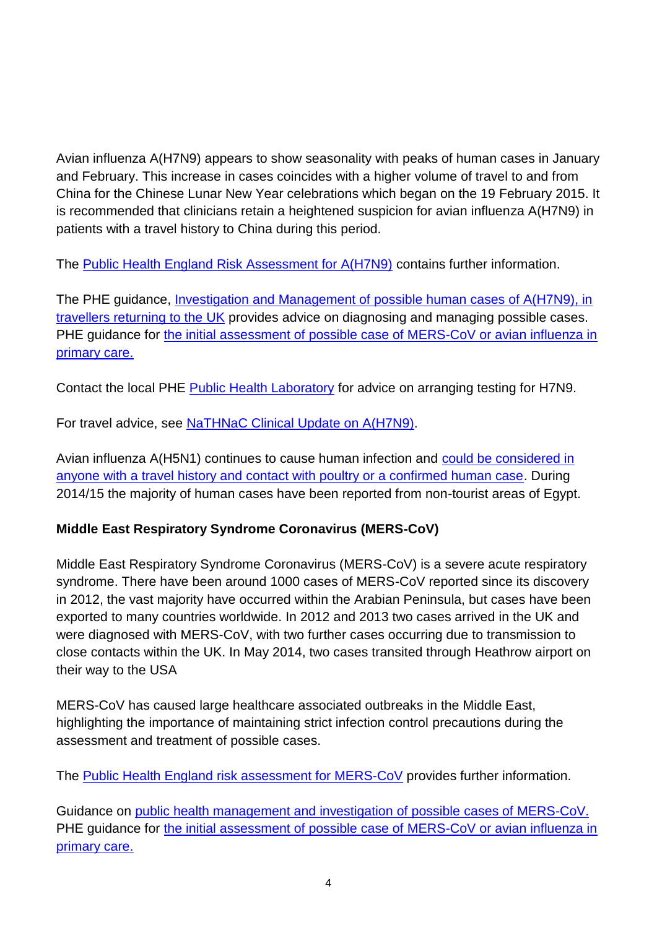Avian influenza A(H7N9) appears to show seasonality with peaks of human cases in January and February. This increase in cases coincides with a higher volume of travel to and from China for the Chinese Lunar New Year celebrations which began on the 19 February 2015. It is recommended that clinicians retain a heightened suspicion for avian influenza A(H7N9) in patients with a travel history to China during this period.

The [Public Health England Risk Assessment for A\(H7N9\)](https://www.gov.uk/government/publications/avian-influenza-a-h7n9-public-health-england-risk-assessment) contains further information.

The PHE guidance, [Investigation and Management of possible human cases of A\(H7N9\), in](https://www.gov.uk/government/publications/avian-influenza-guidance-and-algorithms-for-managing-human-cases)  [travellers returning to the UK](https://www.gov.uk/government/publications/avian-influenza-guidance-and-algorithms-for-managing-human-cases) provides advice on diagnosing and managing possible cases. PHE guidance for the initial assessment of possible case of MERS-CoV or avian influenza in [primary care.](https://www.gov.uk/government/collections/middle-east-respiratory-syndrome-coronavirus-mers-cov-clinical-management-and-guidance)

Contact the local PHE [Public Health Laboratory](https://www.gov.uk/government/collections/public-health-laboratories) for advice on arranging testing for H7N9.

For travel advice, see [NaTHNaC Clinical Update on A\(H7N9\).](http://www.nathnac.org/pro/clinical_updates/avian_flu_100215.htm)

Avian influenza A(H5N1) continues to cause human infection and [could be considered in](https://www.gov.uk/government/publications/avian-influenza-guidance-and-algorithms-for-managing-human-cases)  [anyone with a travel history and contact with poultry or a confirmed human case.](https://www.gov.uk/government/publications/avian-influenza-guidance-and-algorithms-for-managing-human-cases) During 2014/15 the majority of human cases have been reported from non-tourist areas of Egypt.

## **Middle East Respiratory Syndrome Coronavirus (MERS-CoV)**

Middle East Respiratory Syndrome Coronavirus (MERS-CoV) is a severe acute respiratory syndrome. There have been around 1000 cases of MERS-CoV reported since its discovery in 2012, the vast majority have occurred within the Arabian Peninsula, but cases have been exported to many countries worldwide. In 2012 and 2013 two cases arrived in the UK and were diagnosed with MERS-CoV, with two further cases occurring due to transmission to close contacts within the UK. In May 2014, two cases transited through Heathrow airport on their way to the USA

MERS-CoV has caused large healthcare associated outbreaks in the Middle East, highlighting the importance of maintaining strict infection control precautions during the assessment and treatment of possible cases.

The [Public Health England risk assessment](https://www.gov.uk/government/collections/middle-east-respiratory-syndrome-coronavirus-mers-cov-clinical-management-and-guidance) for MERS-CoV provides further information.

Guidance on [public health management and investigation of possible](https://www.gov.uk/government/collections/middle-east-respiratory-syndrome-coronavirus-mers-cov-clinical-management-and-guidance) cases of MERS-CoV. PHE guidance for the initial assessment of possible case of MERS-CoV or avian influenza in [primary care.](https://www.gov.uk/government/collections/middle-east-respiratory-syndrome-coronavirus-mers-cov-clinical-management-and-guidance)